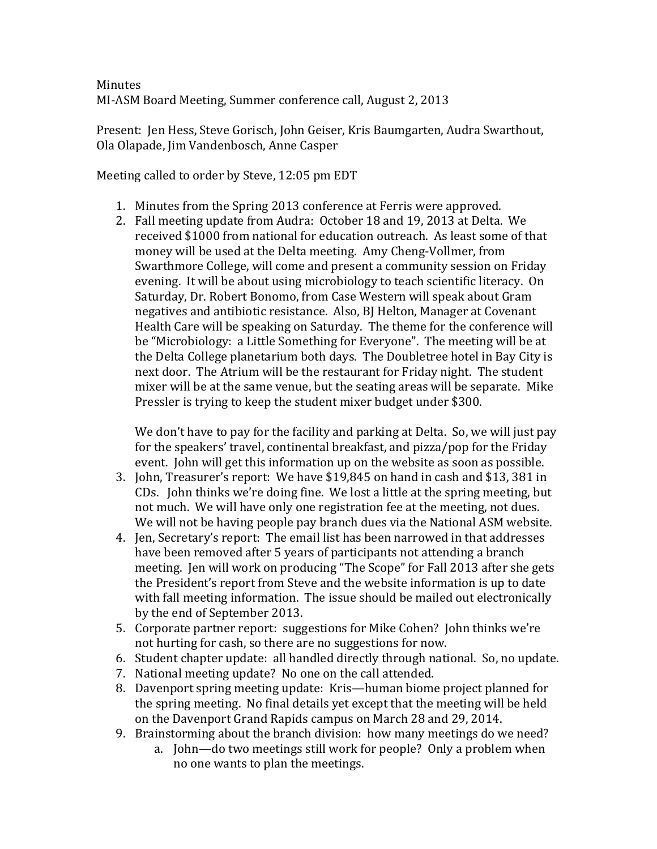## **Minutes** MI-ASM Board Meeting, Summer conference call, August 2, 2013

Present: Jen Hess, Steve Gorisch, John Geiser, Kris Baumgarten, Audra Swarthout, Ola Olapade, Jim Vandenbosch, Anne Casper 

Meeting called to order by Steve, 12:05 pm EDT

- 1. Minutes from the Spring 2013 conference at Ferris were approved.
- 2. Fall meeting update from Audra: October 18 and 19, 2013 at Delta. We received \$1000 from national for education outreach. As least some of that money will be used at the Delta meeting. Amy Cheng-Vollmer, from Swarthmore College, will come and present a community session on Friday evening. It will be about using microbiology to teach scientific literacy. On Saturday, Dr. Robert Bonomo, from Case Western will speak about Gram negatives and antibiotic resistance. Also, BJ Helton, Manager at Covenant Health Care will be speaking on Saturday. The theme for the conference will be "Microbiology: a Little Something for Everyone". The meeting will be at the Delta College planetarium both days. The Doubletree hotel in Bay City is next door. The Atrium will be the restaurant for Friday night. The student mixer will be at the same venue, but the seating areas will be separate. Mike Pressler is trying to keep the student mixer budget under \$300.

We don't have to pay for the facility and parking at Delta. So, we will just pay for the speakers' travel, continental breakfast, and pizza/pop for the Friday event. *John* will get this information up on the website as soon as possible.

- 3. John, Treasurer's report: We have \$19,845 on hand in cash and \$13, 381 in CDs. John thinks we're doing fine. We lost a little at the spring meeting, but not much. We will have only one registration fee at the meeting, not dues. We will not be having people pay branch dues via the National ASM website.
- 4. Ien, Secretary's report: The email list has been narrowed in that addresses have been removed after 5 years of participants not attending a branch meeting. Jen will work on producing "The Scope" for Fall 2013 after she gets the President's report from Steve and the website information is up to date with fall meeting information. The issue should be mailed out electronically by the end of September 2013.
- 5. Corporate partner report: suggestions for Mike Cohen? John thinks we're not hurting for cash, so there are no suggestions for now.
- 6. Student chapter update: all handled directly through national. So, no update.
- 7. National meeting update? No one on the call attended.
- 8. Davenport spring meeting update: Kris—human biome project planned for the spring meeting. No final details yet except that the meeting will be held on the Davenport Grand Rapids campus on March 28 and 29, 2014.
- 9. Brainstorming about the branch division: how many meetings do we need?
	- a. John—do two meetings still work for people? Only a problem when no one wants to plan the meetings.